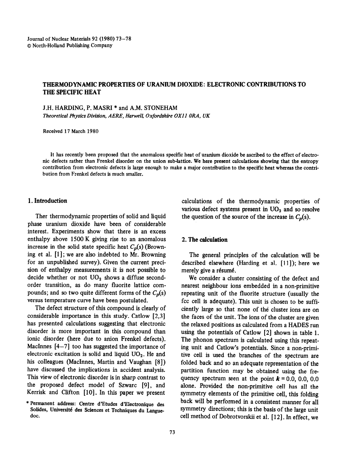# THERMODYNAMIC PROPERTIES OF URANIUM DIOXIDE: ELECTRONIC CONTRIBUTIONS TO THE SPECIFIC! HEAT

J.H. HARDING, P. MASRl \* and A.M. STONEHAM

*Theoretical Physics Division,* A ERE, *Hurwell, Oxfbrdshire OX11 ORA, UK* 

Received 17 March 1980

It has recently been proposed that the anomalous specific heat of uranium dioxide be ascribed to the effect of electronic defects rather than Frenkel disorder on the union sub-lattice. We here present calculations showing that the entropy contribution from electronic defects is large enough to make a major contribution to the specific heat whereas the contribution from Frenkel defects is much smaller.

### 1. Introduction

Ther thermodynamic properties of solid and liquid phase uranium dioxide have been of considerable interest. Experiments show that there is an excess enthalpy above 1500 K giving rise to an anomalous increase in the solid state specific heat  $C_p(s)$  (Browning et al. [l] ; we are also indebted to Mr. Browning for an unpublished survey). Given the current precision of enthalpy measurements it is not possible to decide whether or not  $UO<sub>2</sub>$  shows a diffuse secondorder transition, as do many fluorite lattice compounds; and so two quite different forms of the  $C<sub>n</sub>(s)$ versus temperature curve have been postulated.

The defect structure of this compound is clearly of considerable importance in this study. Catlow [2,3] has presented calculations suggesting that electronic disorder is more important in this compound than ionic disorder (here due to anion Frenkel defects). MacInnes  $[4-7]$  too has suggested the importance of electronic excitation is solid and liquid  $UO<sub>2</sub>$ . He and his colleagues (MacInnes, Martin and Vaughan [8]) have discussed the implications in accident analysis. This view of electronic disorder is in sharp contrast to the proposed defect model of Szwarc [9], and Kerrisk and Clifton  $[10]$ . In this paper we present

calculations of the thermodynamic properties of various defect systems present in  $UO<sub>2</sub>$  and so resolve the question of the source of the increase in  $C_p(s)$ .

## 2. The calculation

The general principles of the calculation will be described elsewhere (Harding et al. [11]); here we merely give a résumé.

We consider a cluster consisting of the defect and nearest neighbour ions embedded in a non-primitive repeating unit of the fluorite structure (usually the fcc cell is adequate). This unit is chosen to be sufficiently large so that none of the cluster ions are on the faces of the unit. The ions of the cluster are given the relaxed positions as calculated from a HADES run using the potentials of Catlow [2] shown in table 1. The phonon spectrum is calculated using this repeating unit and Catlow's potentials. Since a non-primitive cell is used the branches of the spectrum are folded back and so an adequate representation of the partition function may be obtained using the frequency spectrum seen at the point  $k = 0.0, 0.0, 0.0$ alone. Provided the non-primitive cell has all the symmetry elements of the primitive cell, this folding back will be performed in a consistent manner for all symmetry directions; this is the basis of the large unit cell method of Dobrotvorskii et al. [12]. In effect, we

<sup>\*</sup> Permanent address: Centre d'Etudes d'Electronique des Solides, Université des Sciences et Techniques du Languedot.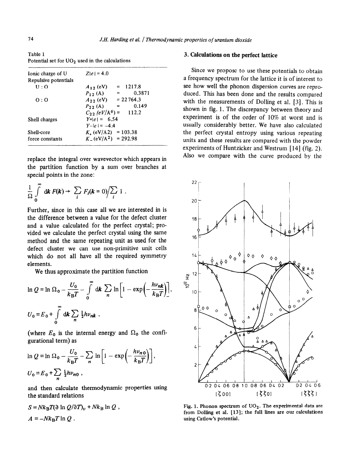Table 1 Potential set for UO<sub>2</sub> used in the calculations

| $Z e  = 4.0$                          |  |  |  |  |  |
|---------------------------------------|--|--|--|--|--|
|                                       |  |  |  |  |  |
| $= 1217.8$<br>$A_{12}$ (eV)           |  |  |  |  |  |
| 0.3871<br>$P_{12}(A) =$               |  |  |  |  |  |
| $A_{22}$ (eV) = 22 764.3              |  |  |  |  |  |
| $P_{22}$ (Å) =<br>0.149               |  |  |  |  |  |
| $C_{22}$ (eV/A <sup>6</sup> ) = 112.2 |  |  |  |  |  |
| $Y +  e  = 6.54$                      |  |  |  |  |  |
| $Y -  \rho  = -44$                    |  |  |  |  |  |
| $K_{\text{L}}$ (eV/A2) = 103.38       |  |  |  |  |  |
| $K_{-}(eV/A^2) = 292.98$              |  |  |  |  |  |
|                                       |  |  |  |  |  |

replace the integral over wavevector which appears in the partition function by a sum over branches at special points in the zone:

$$
\frac{1}{\Omega} \int\limits_{0}^{\infty} dk F(k) \rightarrow \sum_{i} F_{i}(k=0) / \sum_{i} 1.
$$

Further, since in this case all we are interested in is the difference between a value for the defect cluster and a value calculated for the perfect crystal; provided we calculate the perfect crystal using the same method and the same repeating unit as used for the defect cluster we can use non-primitive unit cells which do not all have all the required symmetry elements.

We thus approximate the partition function

$$
\ln Q = \ln \Omega_0 - \frac{U_0}{k_B T} - \int_0^{\infty} dk \sum_n \ln \left[ 1 - \exp\left(-\frac{h\nu_{nk}}{k_B T}\right) \right]
$$
  

$$
U_0 = E_0 + \int_0^{\infty} dk \sum_n \frac{1}{2} h\nu_{nk} ,
$$

(where  $E_0$  is the internal energy and  $\Omega_0$  the configurational term) as

$$
\ln Q = \ln \Omega_0 - \frac{U_0}{k_B T} - \sum_n \ln \left[ 1 - \exp\left( -\frac{h\nu_{n0}}{k_B T} \right) \right],
$$
  

$$
U_0 = E_0 + \sum_n \frac{1}{2} h\nu_{n0},
$$

and then calculate thermodynamic properties using the standard relations

$$
S = Nk_{\rm B}T(\partial \ln Q/\partial T)_v + Nk_{\rm B} \ln Q ,
$$
  

$$
A = -Nk_{\rm B}T \ln Q .
$$

## 3. **calculations on the perfect lattice**

Since we propose to use these potentials to obtain a frequency spectrum for the lattice it is of interest to see how well the phonon dispersion curves are reproduced. This has been done and the results compared with the measurements of Dolling et al. [3]. This is shown in fig. 1. The discrepancy between theory and experiment is of the order of IO% at worst and is usually considerably better. We have also calculated the perfect crystal entropy using various repeating units and these results are compared with the powder experiments of Huntzicker and Westrum [14] (fig. 2). Also we compare with the curve produced by the



Fig. 1. Phonon spectrum of  $UO<sub>2</sub>$ . The experimental data are from Dolling et al. [13]; the full lines are our calculations using Catlow's potential.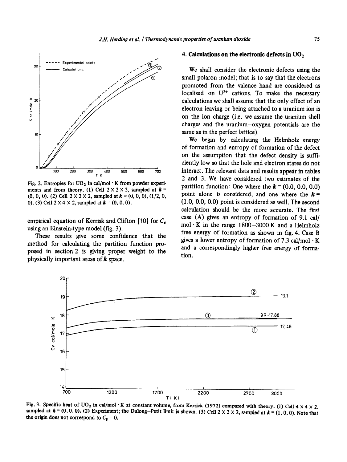

Fig. 2. Entropies for  $UO<sub>2</sub>$  in cal/mol  $\cdot$  K from powder experiments and from theory, (1) Cell  $2 \times 2 \times 2$ , sampled at  $k =$  $(0, 0, 0)$ . (2) Cell  $2 \times 2 \times 2$ , sampled at  $k = (0, 0, 0)$ ,  $(1/2, 0, 0)$ **0).** (3) Cell  $2 \times 4 \times 2$ , sampled at  $k = (0, 0, 0)$ .

empirical equation of Kerrisk and Clifton [10] for  $C_v$ using an Einstein-type model (fig. 3).

These results give some confidence that the method for calculating the partition function proposed in section 2 is giving proper weight to the physically important areas of  $k$  space.

#### 4. **Calculations on the electronic defects in UOz**

We shall consider the electronic defects using the small polaron model; that is to say that the electrons promoted from the valence hand are considered as localised on  $U^{3+}$  cations. To make the necessary calculations we shall assume that the only effect of an electron leaving or being attached to a uranium ion is on the ion charge (i.e. we assume the uranium shell charges and the uranium-oxygen potentials are the same as in the perfect lattice).

We begin by calculating the Helmholz energy of formation and entropy of formation of the defect on the assumption that the defect density is sufficiently low so that the hole and electron states do not interact. The relevant data and results appear in tables 2 and 3. We have considered two estimates of the partition function: One where the  $\boldsymbol{k} = (0.0, 0.0, 0.0)$ point alone is considered, and one where the  $k =$ (1 .O, 0.0, 0.0) point is considered as well. The second calculation should be the more accurate. The first case  $(A)$  gives an entropy of formation of 9.1 cal/ mol $\cdot$ K in the range 1800-3000 K and a Helmholz free energy of formation as shown in fig. 4. Case B gives a lower entropy of formation of 7.3 cal/mol  $\cdot$  K and a correspondingly higher free energy of formation.



Fig. 3. Specific heat of UO<sub>2</sub> in cal/mol  $\cdot$  K at constant volume, from Kerrick (1972) compared with theory. (1) Cell 4 x 4 x 2, sampled at  $k = (0, 0, 0)$ . (2) Experiment; the Dulong-Petit limit is shown. (3) Cell 2 × 2 × 2, sampled at  $k = (1, 0, 0)$ . Note that the origin does not correspond to  $C_v = 0$ .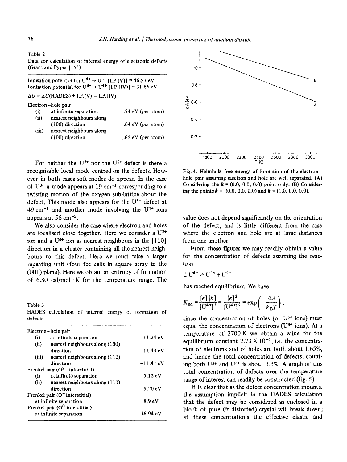# Table *2*

|  | Data for calculation of internal energy of electronic defects |  |  |  |
|--|---------------------------------------------------------------|--|--|--|
|  | (Grant and Pyper $[15]$ )                                     |  |  |  |

Ionisation potential for  $U^{4+} \rightarrow U^{5+}$  [I.P.(V)] = 46.57 eV Ionisation potential for  $U^{3+} \rightarrow U^{4+}$  [I.P.(IV)] = 31.86 eV  $\Delta U = \Delta U(HADES) + I.P.(V) - I.P.(IV)$ Electron-hole pair (i) at infinite separation<br>(ii) nearest neighbours all nearest neighbours along ( 100) direction (iii) nearest neighbours along (100) direction 1.74 eV (per atom) 1.64 eV (per atom) 1.65 eV (per atom)

For neither the  $U^{3+}$  nor the  $U^{5+}$  defect is there a recognisable local mode centred on the defects. However in both cases soft modes do appear. In the case of  $U^{3+}$  a mode appears at 19 cm<sup>-1</sup> corresponding to a twisting motion of the oxygen sub-lattice about the defect. This mode also appears for the  $U^{5+}$  defect at 49 cm<sup>-1</sup> and another mode involving the  $U^{4+}$  ions appears at  $56 \text{ cm}^{-1}$ .

We also consider the case where electron and holes are localised close together. Here we consider a U3+ ion and a  $U^{5+}$  ion as nearest neighbours in the [110] direction in a cluster containing all the nearest neighbours to this defect. Here we must take a larger repeating unit (four fee cells in square array in the (001) plane). Here we obtain an entropy of formation of 6.80 cal/mol  $\cdot$ K for the temperature range. The

Table 3 HADES calculation of internal energy of formation **of**  defects

|                        | Electron-hole pair               |                     |
|------------------------|----------------------------------|---------------------|
| $\bf(i)$               | at infinite separation           | $-11.24 \text{ eV}$ |
| (ii)                   | nearest neighbours along (100)   |                     |
|                        | direction                        | $-11.43 \text{ eV}$ |
| (iii)                  | nearest neighbours along (110)   |                     |
|                        | direction                        | $-11.41 \text{ eV}$ |
|                        | Frenkel pair $(O2$ interstitial) |                     |
| (i)                    | at infinite separation           | $5.12 \text{ eV}$   |
| (ii)                   | nearest neighbours along (111)   |                     |
|                        | direction                        | $5.20 \text{ eV}$   |
|                        | Frenkel pair (O" interstitial)   |                     |
| at infinite separation | 8.9 <sub>eV</sub>                |                     |
|                        | Frenkel pair $(O0$ interstitial) |                     |
| at infinite separation | 16.94 eV                         |                     |



Fig. 4. Helmholz free energy of formation of the electronhole pair assuming electron and hole are well separated. (A) Considering the  $k = (0.0, 0.0, 0.0)$  point only. (B) Considering the points  $\boldsymbol{k} = (0.0, 0.0, 0.0)$  and  $\boldsymbol{k} = (1.0, 0.0, 0.0)$ .

value does not depend significantly on the orientation of the defect, and is little different from the case where the electron and hole are at large distances from one another.

From these figures we may readily obtain a value for the concentration of defects assuming the reaction

$$
2 U^{4+} \rightleftharpoons U^{5+} + U^{3+}
$$

has reached equilibrium. We have

$$
K_{\text{eq}} = \frac{[e][h]}{[U^4^+]^2} = \frac{[e]^2}{[U^4^+]^2} = \exp\left(-\frac{\Delta A}{k_B T}\right),
$$

since the concentration of holes (or  $U^{5+}$  ions) must equal the concentration of electrons ( $U^{3+}$  ions). At a temperature of 2700 K we obtain a value for the equilibrium constant  $2.73 \times 10^{-4}$ , i.e. the concentration of electrons and of holes are both about  $1.65\%$ , and hence the total concentration of defects, counting both  $U^{3+}$  and  $U^{5+}$  is about 3.3%. A graph of this total concentration of defects over the temperature range of interest can readily be constructed (fig. 5).

It is clear that as the defect concentration mounts, the assumption implicit in the HADES calculation that the defect may be considered as enclosed in a block of pure (if distorted) crystal will break down; at these concentrations the effective elastic and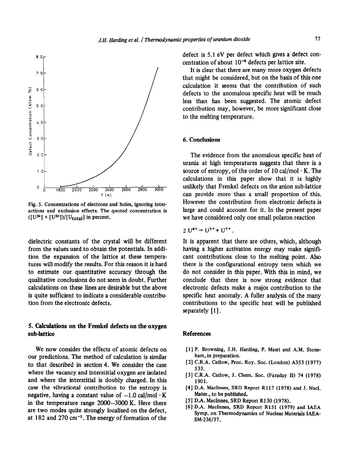

**Fig. 5. Concentrations of electrons and holes, ignoring interactions and exclusion effects. The quoted concentration is**   $([U^{3+}] + [U^{5+}])/[U_{total}]$  in percent.

**dielectric constants** of the crystal will be different from the values used to obtain the potentials. In addition the expansion of the lattice at these temperatures will modify the results. For this reason it is hard to estimate our quantitative accuracy through the qualitative conclusions do not seem in doubt. Further calculations on these lines are desirable but the above is quite sufficient to indicate a considerable contribution from the electronic defects.

## **5. Calculations on the Frenkel defects on the oxygen sub-lattice**

We now consider the effects of atomic defects on our predictions. The method of calculation is similar to that described in section 4. We consider the case where the vacancy and interstitial oxygen are isolated and where the interstitial is doubly charged. In this case the vibrational contribution to the entropy is negative, having a constant value of  $-1.0$  cal/mol  $\cdot$  K in the temperature range 2000-3000 K. Here there are two modes quite strongly localised on the defect, at 182 and 270  $cm^{-1}$ . The energy of formation of the

defect is 5.1 eV per defect which gives a defect concentration of about  $10^{-4}$  defects per lattice site.

It is clear that there are many more oxygen defects that might be considered, but on the basis of this one calculation it seems that the contribution of such defects to the anomalous specific heat will be much less than has been suggested. The atomic defect contribution may, however, be more significant close to the melting temperature.

## 6. Conclusions

The evidence from the anomalous specific heat of Urania at high temperatures suggests that there is a source of entropy, of the order of 10 cal/mol  $\cdot$  K. The calculations in this paper show that it is highly unlikely that Frenkel defects on the anion sub-lattice can provide more than a small proportion of this. However the contribution from electronic defects is large and could account for it. In the present paper we have considered only one small polaron reaction

$$
2\mathrm{U}^{4+} \rightarrow \mathrm{U}^{3+} + \mathrm{U}^{5+}
$$

It is apparent that there are others, which, although having a higher activation energy may make significant contributions close to the melting point. Also there is the configurational entropy term which we do not consider in this paper. With this in mind, we conclude that there is now strong evidence that electronic defects make a major contribution to the specific heat anomaly. A fuller analysis of the many contributions to the specific heat will be published separately  $[1]$ .

### References

- **[l] P. Browning, J.H. Harding, P. Masri and A.M. Stoneham, in preparation.**
- [ 21 **C.R.A. Catlow, Proc. Roy. Sot. (London) A353 (1977) 533.**
- **[3] C.R.A. Catlow, J. Chem. Sot. (Faraday II) 74 (1978) 1901.**
- **[4] D.A. MacInnes, SRD Report R117 (1978) and J. Nucl. Mater., to be published.**
- [5] D.A. MacInnes, SRD Report R130 (1978).
- **]6] D.A. MacInnes, SRD Report R151 (1979) and IAEA**  Symp. on Thermodynamics of Nuclear Materials IAEA-SM-236/37.